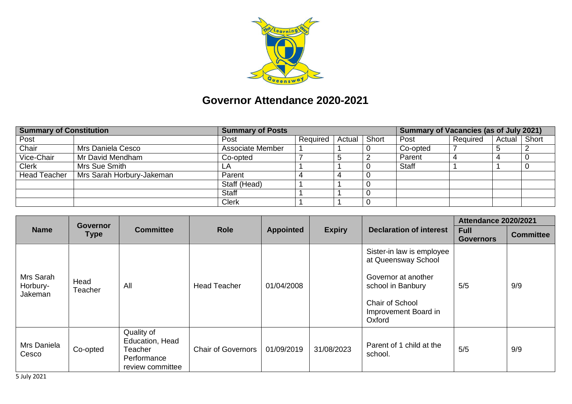

## **Governor Attendance 2020-2021**

| <b>Summary of Constitution</b> |                           | <b>Summary of Posts</b> |                   |  |       | <b>Summary of Vacancies (as of July 2021)</b> |          |        |       |
|--------------------------------|---------------------------|-------------------------|-------------------|--|-------|-----------------------------------------------|----------|--------|-------|
| Post                           |                           | Post                    | Required   Actual |  | Short | Post                                          | Required | Actual | Short |
| Chair                          | Mrs Daniela Cesco         | Associate Member        |                   |  |       | Co-opted                                      |          |        |       |
| Vice-Chair                     | Mr David Mendham          | Co-opted                |                   |  |       | Parent                                        |          |        |       |
| <b>Clerk</b>                   | Mrs Sue Smith             |                         |                   |  |       | Staff                                         |          |        |       |
| <b>Head Teacher</b>            | Mrs Sarah Horbury-Jakeman | Parent                  |                   |  |       |                                               |          |        |       |
|                                |                           | Staff (Head)            |                   |  |       |                                               |          |        |       |
|                                |                           | Staff                   |                   |  |       |                                               |          |        |       |
|                                |                           | Clerk                   |                   |  |       |                                               |          |        |       |

|                                  | <b>Governor</b><br><b>Type</b> | <b>Committee</b>                                                            | <b>Role</b>               | <b>Appointed</b> |               |                                                                                                                                                   | <b>Attendance 2020/2021</b>     |                  |  |
|----------------------------------|--------------------------------|-----------------------------------------------------------------------------|---------------------------|------------------|---------------|---------------------------------------------------------------------------------------------------------------------------------------------------|---------------------------------|------------------|--|
| <b>Name</b>                      |                                |                                                                             |                           |                  | <b>Expiry</b> | <b>Declaration of interest</b>                                                                                                                    | <b>Full</b><br><b>Governors</b> | <b>Committee</b> |  |
| Mrs Sarah<br>Horbury-<br>Jakeman | Head<br>Teacher                | All                                                                         | <b>Head Teacher</b>       | 01/04/2008       |               | Sister-in law is employee<br>at Queensway School<br>Governor at another<br>school in Banbury<br>Chair of School<br>Improvement Board in<br>Oxford | 5/5                             | 9/9              |  |
| Mrs Daniela<br>Cesco             | Co-opted                       | Quality of<br>Education, Head<br>Teacher<br>Performance<br>review committee | <b>Chair of Governors</b> | 01/09/2019       | 31/08/2023    | Parent of 1 child at the<br>school.                                                                                                               | 5/5                             | 9/9              |  |

5 July 2021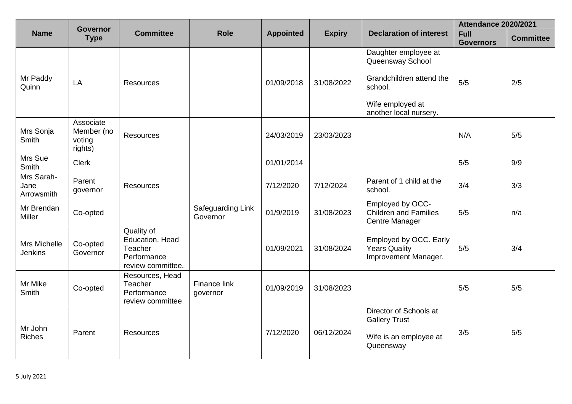|                                  | <b>Governor</b>                              |                                                                              |                               |                  |               |                                                                                                                               | <b>Attendance 2020/2021</b>     |                  |
|----------------------------------|----------------------------------------------|------------------------------------------------------------------------------|-------------------------------|------------------|---------------|-------------------------------------------------------------------------------------------------------------------------------|---------------------------------|------------------|
| <b>Name</b>                      | <b>Type</b>                                  | <b>Committee</b>                                                             | <b>Role</b>                   | <b>Appointed</b> | <b>Expiry</b> | <b>Declaration of interest</b>                                                                                                | <b>Full</b><br><b>Governors</b> | <b>Committee</b> |
| Mr Paddy<br>Quinn                | LA                                           | <b>Resources</b>                                                             |                               | 01/09/2018       | 31/08/2022    | Daughter employee at<br>Queensway School<br>Grandchildren attend the<br>school.<br>Wife employed at<br>another local nursery. | 5/5                             | 2/5              |
| Mrs Sonja<br>Smith               | Associate<br>Member (no<br>voting<br>rights) | Resources                                                                    |                               | 24/03/2019       | 23/03/2023    |                                                                                                                               | N/A                             | 5/5              |
| Mrs Sue<br>Smith                 | <b>Clerk</b>                                 |                                                                              |                               | 01/01/2014       |               |                                                                                                                               | 5/5                             | 9/9              |
| Mrs Sarah-<br>Jane<br>Arrowsmith | Parent<br>governor                           | Resources                                                                    |                               | 7/12/2020        | 7/12/2024     | Parent of 1 child at the<br>school.                                                                                           | 3/4                             | 3/3              |
| Mr Brendan<br>Miller             | Co-opted                                     |                                                                              | Safeguarding Link<br>Governor | 01/9/2019        | 31/08/2023    | Employed by OCC-<br><b>Children and Families</b><br>Centre Manager                                                            | 5/5                             | n/a              |
| Mrs Michelle<br><b>Jenkins</b>   | Co-opted<br>Governor                         | Quality of<br>Education, Head<br>Teacher<br>Performance<br>review committee. |                               | 01/09/2021       | 31/08/2024    | Employed by OCC. Early<br><b>Years Quality</b><br>Improvement Manager.                                                        | 5/5                             | 3/4              |
| Mr Mike<br><b>Smith</b>          | Co-opted                                     | Resources, Head<br>Teacher<br>Performance<br>review committee                | Finance link<br>governor      | 01/09/2019       | 31/08/2023    |                                                                                                                               | 5/5                             | 5/5              |
| Mr John<br><b>Riches</b>         | Parent                                       | <b>Resources</b>                                                             |                               | 7/12/2020        | 06/12/2024    | Director of Schools at<br><b>Gallery Trust</b><br>Wife is an employee at<br>Queensway                                         | 3/5                             | 5/5              |